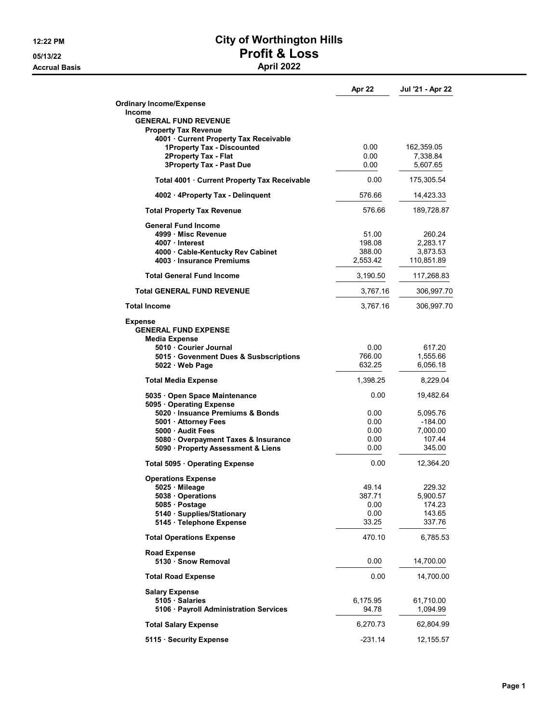**Accrual Basis** 

## 12:22 PM City of Worthington Hills 05/13/22<br>Accrual Basis<br>April 2022

|                                                               | Apr 22         | Jul '21 - Apr 22   |
|---------------------------------------------------------------|----------------|--------------------|
| <b>Ordinary Income/Expense</b>                                |                |                    |
| <b>Income</b>                                                 |                |                    |
| <b>GENERAL FUND REVENUE</b><br><b>Property Tax Revenue</b>    |                |                    |
| 4001 · Current Property Tax Receivable                        |                |                    |
| 1Property Tax - Discounted                                    | 0.00           | 162,359.05         |
| 2Property Tax - Flat                                          | 0.00           | 7,338.84           |
| <b>3Property Tax - Past Due</b>                               | 0.00           | 5,607.65           |
| Total 4001 · Current Property Tax Receivable                  | 0.00           | 175,305.54         |
| 4002 · 4Property Tax - Delinguent                             | 576.66         | 14,423.33          |
| <b>Total Property Tax Revenue</b>                             | 576.66         | 189,728.87         |
| <b>General Fund Income</b>                                    |                |                    |
| 4999 Misc Revenue                                             | 51.00          | 260.24             |
| 4007 Interest                                                 | 198.08         | 2,283.17           |
| 4000 Cable-Kentucky Rev Cabinet                               | 388.00         | 3,873.53           |
| 4003 Insurance Premiums                                       | 2,553.42       | 110,851.89         |
| <b>Total General Fund Income</b>                              | 3,190.50       | 117,268.83         |
| <b>Total GENERAL FUND REVENUE</b>                             | 3,767.16       | 306,997.70         |
| <b>Total Income</b>                                           | 3,767.16       | 306,997.70         |
| Expense                                                       |                |                    |
| <b>GENERAL FUND EXPENSE</b>                                   |                |                    |
| Media Expense                                                 |                |                    |
| 5010 · Courier Journal                                        | 0.00<br>766.00 | 617.20<br>1,555.66 |
| 5015 Govenment Dues & Susbscriptions<br>$5022 \cdot$ Web Page | 632.25         | 6,056.18           |
|                                                               | 1,398.25       | 8,229.04           |
| <b>Total Media Expense</b>                                    |                |                    |
| 5035 · Open Space Maintenance<br>5095 Operating Expense       | 0.00           | 19,482.64          |
| 5020 · Insuance Premiums & Bonds                              | 0.00           | 5,095.76           |
| 5001 · Attorney Fees                                          | 0.00           | $-184.00$          |
| 5000 Audit Fees                                               | 0.00           | 7,000.00           |
| 5080 · Overpayment Taxes & Insurance                          | 0.00           | 107.44             |
| 5090 · Property Assessment & Liens                            | 0.00           | 345.00             |
| Total 5095 · Operating Expense                                | 0.00           | 12,364.20          |
| <b>Operations Expense</b>                                     |                |                    |
| 5025 Mileage                                                  | 49.14          | 229.32             |
| 5038 Operations                                               | 387.71         | 5,900.57           |
| 5085 · Postage                                                | 0.00           | 174.23             |
| 5140 · Supplies/Stationary                                    | 0.00           | 143.65             |
| 5145 · Telephone Expense                                      | 33.25          | 337.76             |
| <b>Total Operations Expense</b>                               | 470.10         | 6,785.53           |
| <b>Road Expense</b>                                           |                |                    |
| 5130 · Snow Removal                                           | 0.00           | 14,700.00          |
| <b>Total Road Expense</b>                                     | 0.00           | 14,700.00          |
| <b>Salary Expense</b>                                         |                |                    |
| 5105 Salaries                                                 | 6,175.95       | 61,710.00          |
| 5106 · Payroll Administration Services                        | 94.78          | 1,094.99           |
| <b>Total Salary Expense</b>                                   | 6,270.73       | 62,804.99          |
| 5115 · Security Expense                                       | $-231.14$      | 12,155.57          |